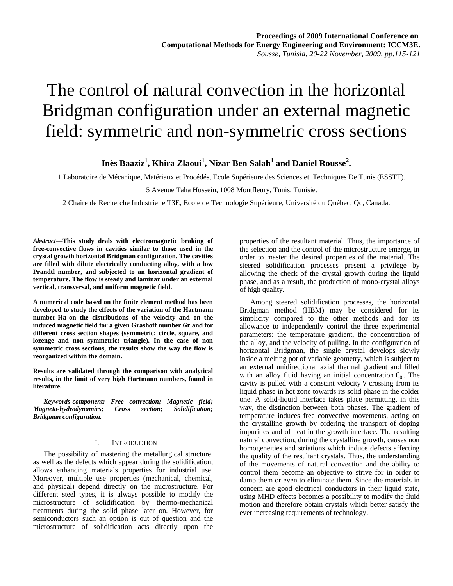# The control of natural convection in the horizontal Bridgman configuration under an external magnetic field: symmetric and non-symmetric cross sections

**Inès Baaziz<sup>1</sup> , Khira Zlaoui<sup>1</sup> , Nizar Ben Salah<sup>1</sup> and Daniel Rousse<sup>2</sup> .**

1 Laboratoire de Mécanique, Matériaux et Procédés, Ecole Supérieure des Sciences et Techniques De Tunis (ESSTT),

5 Avenue Taha Hussein, 1008 Montfleury, Tunis, Tunisie.

2 Chaire de Recherche Industrielle T3E, Ecole de Technologie Supérieure, Université du Québec, Qc, Canada.

*Abstract***—This study deals with electromagnetic braking of free-convective flows in cavities similar to those used in the crystal growth horizontal Bridgman configuration. The cavities are filled with dilute electrically conducting alloy, with a low Prandtl number, and subjected to an horizontal gradient of temperature. The flow is steady and laminar under an external vertical, transversal, and uniform magnetic field.** 

**A numerical code based on the finite element method has been developed to study the effects of the variation of the Hartmann**  number Ha on the distributions of the velocity and on the induced magnetic field for a given Grashoff number Gr and for **different cross section shapes (symmetric: circle, square, and lozenge and non symmetric: triangle). In the case of non symmetric cross sections, the results show the way the flow is reorganized within the domain.**

**Results are validated through the comparison with analytical results, in the limit of very high Hartmann numbers, found in literature.**

*Keywords-component; Free convection; Magnetic field; Magneto-hydrodynamics; Cross section; Solidification; Bridgman configuration.* 

### I. INTRODUCTION

The possibility of mastering the metallurgical structure, as well as the defects which appear during the solidification, allows enhancing materials properties for industrial use. Moreover, multiple use properties (mechanical, chemical, and physical) depend directly on the microstructure. For different steel types, it is always possible to modify the microstructure of solidification by thermo-mechanical treatments during the solid phase later on. However, for semiconductors such an option is out of question and the microstructure of solidification acts directly upon the properties of the resultant material. Thus, the importance of the selection and the control of the microstructure emerge, in order to master the desired properties of the material. The steered solidification processes present a privilege by allowing the check of the crystal growth during the liquid phase, and as a result, the production of mono-crystal alloys of high quality.

Among steered solidification processes, the horizontal Bridgman method (HBM) may be considered for its simplicity compared to the other methods and for its allowance to independently control the three experimental parameters: the temperature gradient, the concentration of the alloy, and the velocity of pulling. In the configuration of horizontal Bridgman, the single crystal develops slowly inside a melting pot of variable geometry, which is subject to an external unidirectional axial thermal gradient and filled with an alloy fluid having an initial concentration  $C_0$ . The cavity is pulled with a constant velocity V crossing from its liquid phase in hot zone towards its solid phase in the colder one. A solid-liquid interface takes place permitting, in this way, the distinction between both phases. The gradient of temperature induces free convective movements, acting on the crystalline growth by ordering the transport of doping impurities and of heat in the growth interface. The resulting natural convection, during the crystalline growth, causes non homogeneities and striations which induce defects affecting the quality of the resultant crystals. Thus, the understanding of the movements of natural convection and the ability to control them become an objective to strive for in order to damp them or even to eliminate them. Since the materials in concern are good electrical conductors in their liquid state, using MHD effects becomes a possibility to modify the fluid motion and therefore obtain crystals which better satisfy the ever increasing requirements of technology.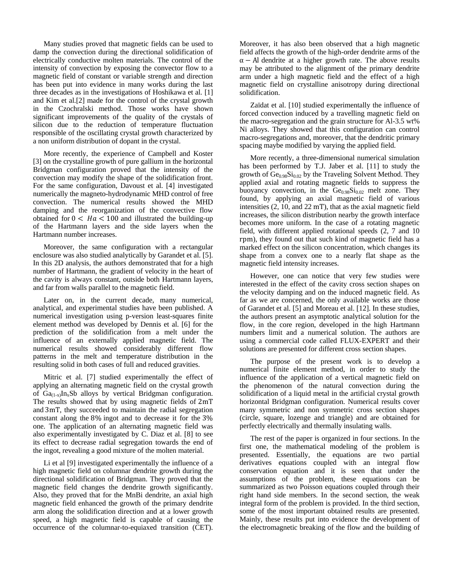Many studies proved that magnetic fields can be used to damp the convection during the directional solidification of electrically conductive molten materials. The control of the intensity of convection by exposing the convector flow to a magnetic field of constant or variable strength and direction has been put into evidence in many works during the last three decades as in the investigations of Hoshikawa et al. [1] and Kim et al.[2] made for the control of the crystal growth in the Czochralski method. Those works have shown significant improvements of the quality of the crystals of silicon due to the reduction of temperature fluctuation responsible of the oscillating crystal growth characterized by a non uniform distribution of dopant in the crystal.

More recently, the experience of Campbell and Koster [3] on the crystalline growth of pure gallium in the horizontal Bridgman configuration proved that the intensity of the convection may modify the shape of the solidification front. For the same configuration, Davoust et al. [4] investigated numerically the magneto-hydrodynamic MHD control of free convection. The numerical results showed the MHD damping and the reorganization of the convective flow obtained for  $0 < Ha < 100$  and illustrated the building-up of the Hartmann layers and the side layers when the Hartmann number increases.

Moreover, the same configuration with a rectangular enclosure was also studied analytically by Garandet et al. [5]. In this 2D analysis, the authors demonstrated that for a high number of Hartmann, the gradient of velocity in the heart of the cavity is always constant, outside both Hartmann layers, and far from walls parallel to the magnetic field.

Later on, in the current decade, many numerical, analytical, and experimental studies have been published. A numerical investigation using p-version least-squares finite element method was developed by Dennis et al. [6] for the prediction of the solidification from a melt under the influence of an externally applied magnetic field. The numerical results showed considerably different flow patterns in the melt and temperature distribution in the resulting solid in both cases of full and reduced gravities.

Mitric et al. [7] studied experimentally the effect of applying an alternating magnetic field on the crystal growth of  $Ga_{(1-x)}In_xSb$  alloys by vertical Bridgman configuration. The results showed that by using magnetic fields of  $2mT$ and 3mT, they succeeded to maintain the radial segregation constant along the  $8\%$  ingot and to decrease it for the  $3\%$ one. The application of an alternating magnetic field was also experimentally investigated by C. Diaz et al. [8] to see its effect to decrease radial segregation towards the end of the ingot, revealing a good mixture of the molten material.

Li et al [9] investigated experimentally the influence of a high magnetic field on columnar dendrite growth during the directional solidification of Bridgman. They proved that the magnetic field changes the dendrite growth significantly. Also, they proved that for the MnBi dendrite, an axial high magnetic field enhanced the growth of the primary dendrite arm along the solidification direction and at a lower growth speed, a high magnetic field is capable of causing the occurrence of the columnar-to-equiaxed transition (CET). Moreover, it has also been observed that a high magnetic field affects the growth of the high-order dendrite arms of the  $\alpha$  – Al dendrite at a higher growth rate. The above results may be attributed to the alignment of the primary dendrite arm under a high magnetic field and the effect of a high magnetic field on crystalline anisotropy during directional solidification.

Zaïdat et al. [10] studied experimentally the influence of forced convection induced by a travelling magnetic field on the macro-segregation and the grain structure for Al-3.5 wt% Ni alloys. They showed that this configuration can control macro-segregations and, moreover, that the dendritic primary spacing maybe modified by varying the applied field.

More recently, a three-dimensional numerical simulation has been performed by T.J. Jaber et al. [11] to study the growth of  $Ge<sub>0.98</sub>Si<sub>0.02</sub>$  by the Traveling Solvent Method. They applied axial and rotating magnetic fields to suppress the buoyancy convection, in the  $Ge<sub>0.98</sub>Si<sub>0.02</sub>$  melt zone. They found, by applying an axial magnetic field of various intensities  $(2, 10, \text{ and } 22 \text{ mT})$ , that as the axial magnetic field increases, the silicon distribution nearby the growth interface becomes more uniform. In the case of a rotating magnetic field, with different applied rotational speeds (2, 7 and 10 ), they found out that such kind of magnetic field has a marked effect on the silicon concentration, which changes its shape from a convex one to a nearly flat shape as the magnetic field intensity increases.

However, one can notice that very few studies were interested in the effect of the cavity cross section shapes on the velocity damping and on the induced magnetic field. As far as we are concerned, the only available works are those of Garandet et al. [5] and Moreau et al. [12]. In these studies, the authors present an asymptotic analytical solution for the flow, in the core region, developed in the high Hartmann numbers limit and a numerical solution. The authors are using a commercial code called FLUX-EXPERT and their solutions are presented for different cross section shapes.

The purpose of the present work is to develop a numerical finite element method, in order to study the influence of the application of a vertical magnetic field on the phenomenon of the natural convection during the solidification of a liquid metal in the artificial crystal growth horizontal Bridgman configuration. Numerical results cover many symmetric and non symmetric cross section shapes (circle, square, lozenge and triangle) and are obtained for perfectly electrically and thermally insulating walls.

The rest of the paper is organized in four sections. In the first one, the mathematical modeling of the problem is presented. Essentially, the equations are two partial derivatives equations coupled with an integral flow conservation equation and it is seen that under the assumptions of the problem, these equations can be summarized as two Poisson equations coupled through their right hand side members. In the second section, the weak integral form of the problem is provided. In the third section, some of the most important obtained results are presented. Mainly, these results put into evidence the development of the electromagnetic breaking of the flow and the building of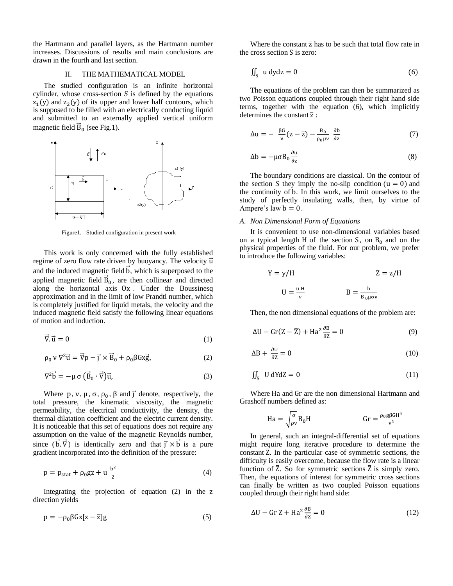the Hartmann and parallel layers, as the Hartmann number increases. Discussions of results and main conclusions are drawn in the fourth and last section.

#### II. THE MATHEMATICAL MODEL

The studied configuration is an infinite horizontal cylinder, whose cross-section *S* is defined by the equations  $z_1(y)$  and  $z_2(y)$  of its upper and lower half contours, which is supposed to be filled with an electrically conducting liquid and submitted to an externally applied vertical uniform magnetic field  $\vec{B}_0$  (see Fig.1).



Figure1. Studied configuration in present work

This work is only concerned with the fully established regime of zero flow rate driven by buoyancy. The velocity  $\vec{u}$ and the induced magnetic field  $\vec{b}$ , which is superposed to the applied magnetic field  $\overline{B}_0$ , are then collinear and directed along the horizontal axis Ox. Under the Boussinesq approximation and in the limit of low Prandtl number, which is completely justified for liquid metals, the velocity and the induced magnetic field satisfy the following linear equations of motion and induction.

$$
\vec{\nabla}.\vec{u} = 0\tag{1}
$$

$$
\rho_0 \vee \nabla^2 \vec{u} = \vec{\nabla} p - \vec{j} \times \vec{B}_0 + \rho_0 \beta G x \vec{g}, \qquad (2)
$$

$$
\nabla^2 \vec{b} = -\mu \sigma \left( \vec{B}_0 \cdot \vec{\nabla} \right) \vec{u},\tag{3}
$$

Where p, v,  $\mu$ ,  $\sigma$ ,  $\rho_0$ ,  $\beta$  and  $\vec{J}$  denote, respectively, the total pressure, the kinematic viscosity, the magnetic permeability, the electrical conductivity, the density, the thermal dilatation coefficient and the electric current density. It is noticeable that this set of equations does not require any assumption on the value of the magnetic Reynolds number, since  $(\vec{b}, \vec{\nabla})$  is identically zero and that  $\vec{j} \times \vec{b}$  is a pure gradient incorporated into the definition of the pressure:

$$
p = p_{\text{stat}} + \rho_0 g z + u \frac{b^2}{2} \tag{4}
$$

Integrating the projection of equation  $(2)$  in the z direction yields

$$
p = -\rho_0 \beta Gx[z - \overline{z}]g \tag{5}
$$

Where the constant  $\overline{z}$  has to be such that total flow rate in the cross section  $S$  is zero:

$$
\iint_{S} u \, dy \, dz = 0 \tag{6}
$$

The equations of the problem can then be summarized as two Poisson equations coupled through their right hand side terms, together with the equation (6), which implicitly determines the constant  $\overline{z}$ :

$$
\Delta u = -\frac{\beta G}{v}(z - \overline{z}) - \frac{B_0}{\rho_0 \mu v} \frac{\partial b}{\partial z}
$$
 (7)

$$
\Delta b = -\mu \sigma B_0 \frac{\partial u}{\partial z} \tag{8}
$$

The boundary conditions are classical. On the contour of the section *S* they imply the no-slip condition  $(u = 0)$  and the continuity of b. In this work, we limit ourselves to the study of perfectly insulating walls, then, by virtue of Ampere's law  $b = 0$ .

## *A. Non Dimensional Form of Equations*

It is convenient to use non-dimensional variables based on a typical length H of the section S, on  $B_0$  and on the physical properties of the fluid. For our problem, we prefer to introduce the following variables:

$$
Y = y/H \t Z = z/H
$$
  

$$
U = \frac{uH}{v} \t B = \frac{b}{B_0 \mu \sigma v}
$$

Then, the non dimensional equations of the problem are:

$$
\Delta U - Gr(Z - \bar{Z}) + Ha^2 \frac{\partial B}{\partial z} = 0
$$
\n(9)

$$
\Delta B + \frac{\partial U}{\partial z} = 0 \tag{10}
$$

$$
\iint_{S} \mathbf{U} \, \mathrm{d} \mathbf{Y} \mathrm{d} \mathbf{Z} = 0 \tag{11}
$$

Where Ha and Gr are the non dimensional Hartmann and Grashoff numbers defined as:

$$
Ha = \sqrt{\frac{\sigma}{\rho \nu}} B_0 H \qquad \qquad Gr = \frac{\rho_0 g \beta G H^4}{\nu^2}
$$

In general, such an integral-differential set of equations might require long iterative procedure to determine the constant  $\overline{Z}$ . In the particular case of symmetric sections, the difficulty is easily overcome, because the flow rate is a linear function of  $\overline{Z}$ . So for symmetric sections  $\overline{Z}$  is simply zero. Then, the equations of interest for symmetric cross sections can finally be written as two coupled Poisson equations coupled through their right hand side:

$$
\Delta U - \text{Gr } Z + \text{Ha}^2 \frac{\partial B}{\partial z} = 0 \tag{12}
$$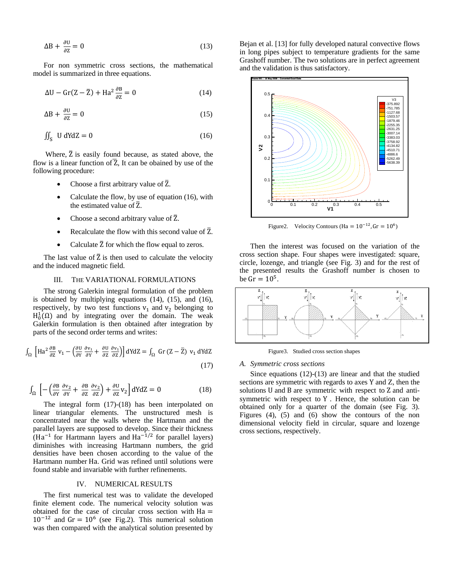$$
\Delta B + \frac{\partial U}{\partial z} = 0 \tag{13}
$$

For non symmetric cross sections, the mathematical model is summarized in three equations.

$$
\Delta U - Gr(Z - \overline{Z}) + Ha^2 \frac{\partial B}{\partial z} = 0
$$
 (14)

$$
\Delta B + \frac{\partial U}{\partial z} = 0 \tag{15}
$$

$$
\iint_{S} \mathbf{U} \, \mathrm{d} \mathbf{Y} \mathrm{d} \mathbf{Z} = 0 \tag{16}
$$

Where,  $\bar{Z}$  is easily found because, as stated above, the flow is a linear function of  $\overline{Z}$ , It can be obained by use of the following procedure:

- Choose a first arbitrary value of  $\overline{Z}$ .
- Calculate the flow, by use of equation (16), with the estimated value of  $\overline{Z}$ .
- Choose a second arbitrary value of  $\overline{Z}$ .
- Recalculate the flow with this second value of  $\overline{Z}$ .
- Calculate  $\bar{Z}$  for which the flow equal to zeros.

The last value of  $\overline{Z}$  is then used to calculate the velocity and the induced magnetic field.

# III. THE VARIATIONAL FORMULATIONS

The strong Galerkin integral formulation of the problem is obtained by multiplying equations (14), (15), and (16), respectively, by two test functions  $v_1$  and  $v_2$  belonging to  $H_0^1(\Omega)$  and by integrating over the domain. The weak Galerkin formulation is then obtained after integration by parts of the second order terms and writes:

$$
\int_{\Omega} \left[ H a^2 \frac{\partial B}{\partial z} v_1 - \left( \frac{\partial U}{\partial y} \frac{\partial v_1}{\partial y} + \frac{\partial U}{\partial z} \frac{\partial v_1}{\partial z} \right) \right] dY dZ = \int_{\Omega} Gr (Z - \overline{Z}) v_1 dY dZ
$$
\n(17)

$$
\int_{\Omega} \left[ -\left( \frac{\partial B}{\partial Y} \frac{\partial v_2}{\partial Y} + \frac{\partial B}{\partial Z} \frac{\partial v_2}{\partial Z} \right) + \frac{\partial U}{\partial Z} v_2 \right] dY dZ = 0 \tag{18}
$$

The integral form (17)-(18) has been interpolated on linear triangular elements. The unstructured mesh is concentrated near the walls where the Hartmann and the parallel layers are supposed to develop. Since their thickness (Ha<sup>-1</sup> for Hartmann layers and  $Ha^{-1/2}$  for parallel layers) diminishes with increasing Hartmann numbers, the grid densities have been chosen according to the value of the Hartmann number Ha. Grid was refined until solutions were found stable and invariable with further refinements.

#### IV. NUMERICAL RESULTS

The first numerical test was to validate the developed finite element code. The numerical velocity solution was obtained for the case of circular cross section with  $Ha =$  $10^{-12}$  and Gr =  $10^6$  (see Fig.2). This numerical solution was then compared with the analytical solution presented by

Bejan et al. [13] for fully developed natural convective flows in long pipes subject to temperature gradients for the same Grashoff number. The two solutions are in perfect agreement and the validation is thus satisfactory.



Figure2. Velocity Contours (Ha =  $10^{-12}$ , Gr =  $10^6$ )

Then the interest was focused on the variation of the cross section shape. Four shapes were investigated: square, circle, lozenge, and triangle (see Fig. 3) and for the rest of the presented results the Grashoff number is chosen to be  $Gr = 10^5$ .



Figure3. Studied cross section shapes

#### *A. Symmetric cross sections*

Since equations (12)-(13) are linear and that the studied sections are symmetric with regards to axes  $Y$  and  $Z$ , then the solutions U and B are symmetric with respect to Z and antisymmetric with respect to Y. Hence, the solution can be obtained only for a quarter of the domain (see Fig. 3). Figures (4), (5) and (6) show the contours of the non dimensional velocity field in circular, square and lozenge cross sections, respectively.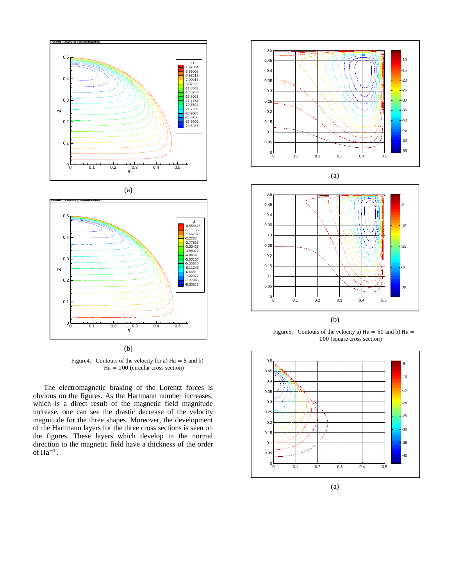



(b)

Figure4. Contours of the velocity for a)  $Ha = 5$  and b)  $Ha = 100$  (circular cross section)

The electromagnetic braking of the Lorentz forces is obvious on the figures. As the Hartmann number increases, which is a direct result of the magnetic field magnitude increase, one can see the drastic decrease of the velocity magnitude for the three shapes. Moreover, the development of the Hartmann layers for the three cross sections is seen on the figures. These layers which develop in the normal direction to the magnetic field have a thickness of the order of  $Ha^{-1}$ .





Figure 5. Contours of the velocity a)  $Ha = 50$  and b)  $Ha =$ 100 (square cross section)

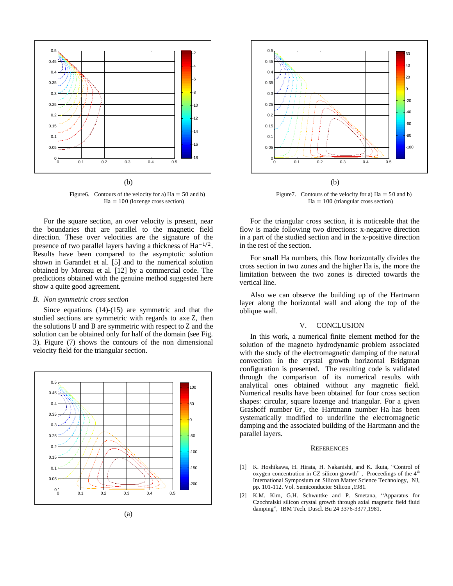

Figure6. Contours of the velocity for a)  $Ha = 50$  and b)  $Ha = 100$  (lozenge cross section)

For the square section, an over velocity is present, near the boundaries that are parallel to the magnetic field direction. These over velocities are the signature of the presence of two parallel layers having a thickness of  $Ha^{-1/2}$ . Results have been compared to the asymptotic solution shown in Garandet et al. [5] and to the numerical solution obtained by Moreau et al. [12] by a commercial code. The predictions obtained with the genuine method suggested here show a quite good agreement.

#### *B. Non symmetric cross section*

Since equations (14)-(15) are symmetric and that the studied sections are symmetric with regards to axe Z, then the solutions U and B are symmetric with respect to Z and the solution can be obtained only for half of the domain (see Fig. 3). Figure (7) shows the contours of the non dimensional velocity field for the triangular section.





Figure 7. Contours of the velocity for a)  $Ha = 50$  and b)  $Ha = 100$  (triangular cross section)

For the triangular cross section, it is noticeable that the flow is made following two directions: x-negative direction in a part of the studied section and in the x-positive direction in the rest of the section.

For small Ha numbers, this flow horizontally divides the cross section in two zones and the higher Ha is, the more the limitation between the two zones is directed towards the vertical line.

Also we can observe the building up of the Hartmann layer along the horizontal wall and along the top of the oblique wall.

# V. CONCLUSION

In this work, a numerical finite element method for the solution of the magneto hydrodynamic problem associated with the study of the electromagnetic damping of the natural convection in the crystal growth horizontal Bridgman configuration is presented. The resulting code is validated through the comparison of its numerical results with analytical ones obtained without any magnetic field. Numerical results have been obtained for four cross section shapes: circular, square lozenge and triangular. For a given Grashoff number Gr, the Hartmann number Ha has been systematically modified to underline the electromagnetic damping and the associated building of the Hartmann and the parallel layers.

## **REFERENCES**

- [1] K. Hoshikawa, H. Hirata, H. Nakanishi, and K. Ikuta, "Control of oxygen concentration in CZ silicon growth", Proceedings of the  $4<sup>th</sup>$ International Symposium on Silicon Matter Science Technology, NJ, pp. 101-112. Vol. Semiconductor Silicon ,1981.
- [2] K.M. Kim, G.H. Schwuttke and P. Smetana, "Apparatus for Czochralski silicon crystal growth through axial magnetic field fluid damping", IBM Tech. Duscl. Bu 24 3376-3377,1981.